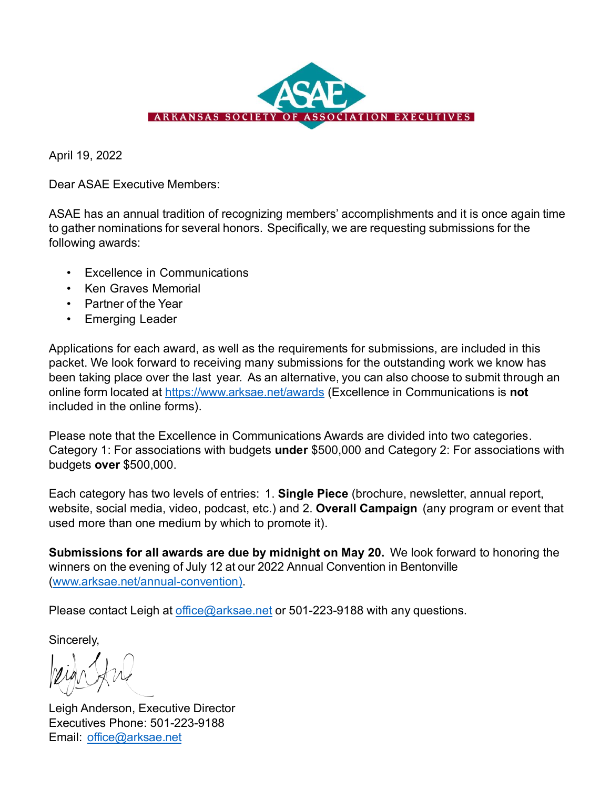

April 19, 2022

Dear ASAE Executive Members:

ASAE has an annual tradition of recognizing members' accomplishments and it is once again time to gather nominations for several honors. Specifically, we are requesting submissions for the following awards:

- Excellence in Communications
- Ken Graves Memorial
- Partner of the Year
- Emerging Leader

Applications for each award, as well as the requirements for submissions, are included in this packet. We look forward to receiving many submissions for the outstanding work we know has been taking place over the last year. As an alternative, you can also choose to submit through an online form located at<https://www.arksae.net/awards> (Excellence in Communications is **not** included in the online forms).

Please note that the Excellence in Communications Awards are divided into two categories. Category 1: For associations with budgets **under** \$500,000 and Category 2: For associations with budgets **over** \$500,000.

Each category has two levels of entries: 1. **Single Piece** (brochure, newsletter, annual report, website, social media, video, podcast, etc.) and 2. **Overall Campaign** (any program or event that used more than one medium by which to promote it).

**Submissions for all awards are due by midnight on May 20.** We look forward to honoring the winners on the evening of July 12 at our 2022 Annual Convention in Bentonville [\(www.arksae.net/annual-convention\)](http://www.arksae.net/annual-convention).

Please contact Leigh at [office@arksae.net](mailto:office@arksae.net) or 501-223-9188 with any questions.

Sincerely,

Leigh Anderson, Executive Director Executives Phone: 501-223-9188 Email: [office@arksae.net](mailto:office@arksae.net)